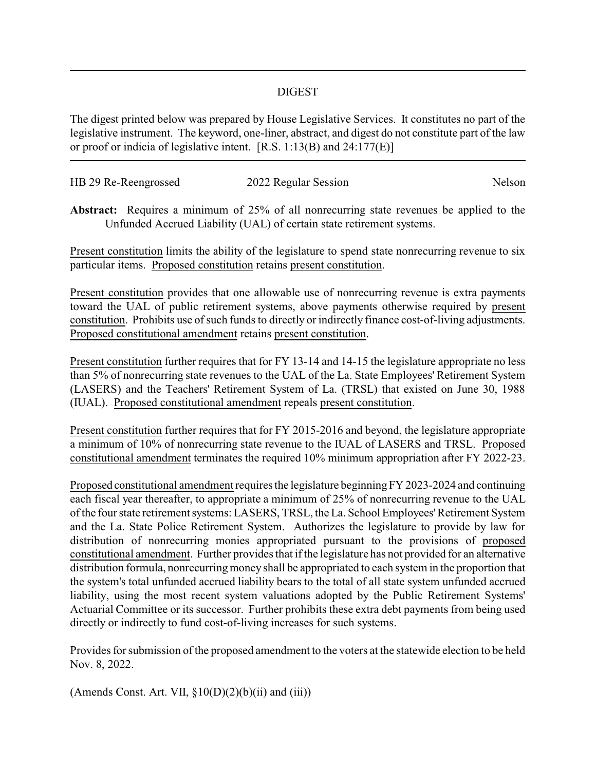## DIGEST

The digest printed below was prepared by House Legislative Services. It constitutes no part of the legislative instrument. The keyword, one-liner, abstract, and digest do not constitute part of the law or proof or indicia of legislative intent. [R.S. 1:13(B) and 24:177(E)]

| HB 29 Re-Reengrossed | 2022 Regular Session | Nelson |
|----------------------|----------------------|--------|
|                      |                      |        |

**Abstract:** Requires a minimum of 25% of all nonrecurring state revenues be applied to the Unfunded Accrued Liability (UAL) of certain state retirement systems.

Present constitution limits the ability of the legislature to spend state nonrecurring revenue to six particular items. Proposed constitution retains present constitution.

Present constitution provides that one allowable use of nonrecurring revenue is extra payments toward the UAL of public retirement systems, above payments otherwise required by present constitution. Prohibits use of such funds to directly or indirectly finance cost-of-living adjustments. Proposed constitutional amendment retains present constitution.

Present constitution further requires that for FY 13-14 and 14-15 the legislature appropriate no less than 5% of nonrecurring state revenues to the UAL of the La. State Employees' Retirement System (LASERS) and the Teachers' Retirement System of La. (TRSL) that existed on June 30, 1988 (IUAL). Proposed constitutional amendment repeals present constitution.

Present constitution further requires that for FY 2015-2016 and beyond, the legislature appropriate a minimum of 10% of nonrecurring state revenue to the IUAL of LASERS and TRSL. Proposed constitutional amendment terminates the required 10% minimum appropriation after FY 2022-23.

Proposed constitutional amendment requires the legislature beginningFY 2023-2024 and continuing each fiscal year thereafter, to appropriate a minimum of 25% of nonrecurring revenue to the UAL of the four state retirement systems: LASERS, TRSL, the La. School Employees'Retirement System and the La. State Police Retirement System. Authorizes the legislature to provide by law for distribution of nonrecurring monies appropriated pursuant to the provisions of proposed constitutional amendment. Further provides that if the legislature has not provided for an alternative distribution formula, nonrecurring money shall be appropriated to each system in the proportion that the system's total unfunded accrued liability bears to the total of all state system unfunded accrued liability, using the most recent system valuations adopted by the Public Retirement Systems' Actuarial Committee or its successor. Further prohibits these extra debt payments from being used directly or indirectly to fund cost-of-living increases for such systems.

Provides for submission of the proposed amendment to the voters at the statewide election to be held Nov. 8, 2022.

(Amends Const. Art. VII,  $\S 10(D)(2)(b)(ii)$  and (iii))